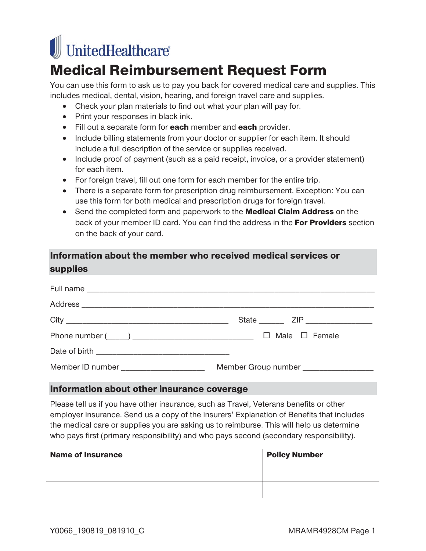# UnitedHealthcare®

# Medical Reimbursement Request Form

You can use this form to ask us to pay you back for covered medical care and supplies. This includes medical, dental, vision, hearing, and foreign travel care and supplies.

- Check your plan materials to find out what your plan will pay for.
- Print your responses in black ink.
- Fill out a separate form for each member and each provider.
- Include billing statements from your doctor or supplier for each item. It should include a full description of the service or supplies received.
- Include proof of payment (such as a paid receipt, invoice, or a provider statement) for each item.
- For foreign travel, fill out one form for each member for the entire trip.
- There is a separate form for prescription drug reimbursement. Exception: You can use this form for both medical and prescription drugs for foreign travel.
- Send the completed form and paperwork to the **Medical Claim Address** on the back of your member ID card. You can find the address in the For Providers section on the back of your card.

# Information about the member who received medical services or supplies

| Member ID number New York 1999 | Member Group number <b>Member</b> Member <b>Number</b> |
|--------------------------------|--------------------------------------------------------|

#### Information about other insurance coverage

Please tell us if you have other insurance, such as Travel, Veterans benefits or other employer insurance. Send us a copy of the insurers' Explanation of Benefits that includes the medical care or supplies you are asking us to reimburse. This will help us determine who pays first (primary responsibility) and who pays second (secondary responsibility).

| <b>Name of Insurance</b> | <b>Policy Number</b> |
|--------------------------|----------------------|
|                          |                      |
|                          |                      |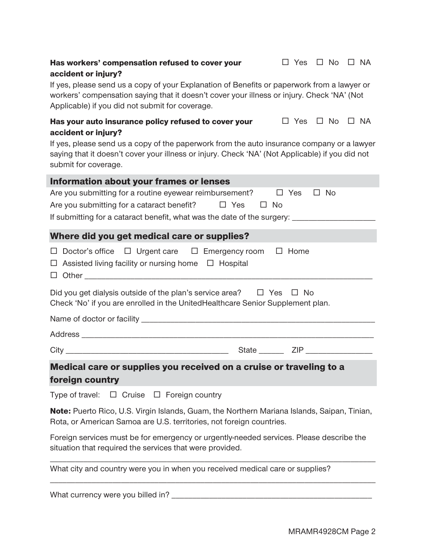### Has workers' compensation refused to cover your accident or injury?

If yes, please send us a copy of your Explanation of Benefits or paperwork from a lawyer or workers' compensation saying that it doesn't cover your illness or injury. Check 'NA' (Not Applicable) if you did not submit for coverage.

#### Has your auto insurance policy refused to cover your accident or injury?  $\Box$  Yes  $\Box$  No  $\Box$  NA

If yes, please send us a copy of the paperwork from the auto insurance company or a lawyer saying that it doesn't cover your illness or injury. Check 'NA' (Not Applicable) if you did not submit for coverage.

| Information about your frames or lenses                                                                                                                             |
|---------------------------------------------------------------------------------------------------------------------------------------------------------------------|
| Are you submitting for a routine eyewear reimbursement?<br>No<br>$\Box$<br>Yes<br>$\Box$                                                                            |
| Are you submitting for a cataract benefit? $\Box$ Yes<br>$\Box$ No                                                                                                  |
| If submitting for a cataract benefit, what was the date of the surgery: ____________________________                                                                |
| Where did you get medical care or supplies?                                                                                                                         |
| $\Box$ Doctor's office $\Box$ Urgent care $\Box$ Emergency room $\Box$ Home<br>$\Box$ Assisted living facility or nursing home $\Box$ Hospital                      |
| Did you get dialysis outside of the plan's service area? $\Box$ Yes $\Box$ No<br>Check 'No' if you are enrolled in the UnitedHealthcare Senior Supplement plan.     |
|                                                                                                                                                                     |
|                                                                                                                                                                     |
|                                                                                                                                                                     |
| Medical care or supplies you received on a cruise or traveling to a                                                                                                 |
| foreign country                                                                                                                                                     |
| Type of travel: $\Box$ Cruise $\Box$ Foreign country                                                                                                                |
| Note: Puerto Rico, U.S. Virgin Islands, Guam, the Northern Mariana Islands, Saipan, Tinian,<br>Rota, or American Samoa are U.S. territories, not foreign countries. |
| Foreign consigner must be fer emergency or urgently needed consigent. Diegon decented the                                                                           |

Foreign services must be for emergency or urgently-needed services. Please describe the situation that required the services that were provided. \_\_\_\_\_\_\_\_\_\_\_\_\_\_\_\_\_\_\_\_\_\_\_\_\_\_\_\_\_\_\_\_\_\_\_\_\_\_\_\_\_\_\_\_\_\_\_\_\_\_\_\_\_\_\_\_\_\_\_\_\_\_\_\_\_\_\_\_\_\_\_\_\_\_\_\_\_\_

\_\_\_\_\_\_\_\_\_\_\_\_\_\_\_\_\_\_\_\_\_\_\_\_\_\_\_\_\_\_\_\_\_\_\_\_\_\_\_\_\_\_\_\_\_\_\_\_\_\_\_\_\_\_\_\_\_\_\_\_\_\_\_\_\_\_\_\_\_\_\_\_\_\_\_\_\_\_

What city and country were you in when you received medical care or supplies?

What currency were you billed in? \_\_\_\_\_\_\_\_\_\_\_\_\_\_\_\_\_\_\_\_\_\_\_\_\_\_\_\_\_\_\_\_\_\_\_\_\_\_\_\_\_\_\_\_\_\_\_\_

 $\Box$  Yes  $\Box$  No  $\Box$  NA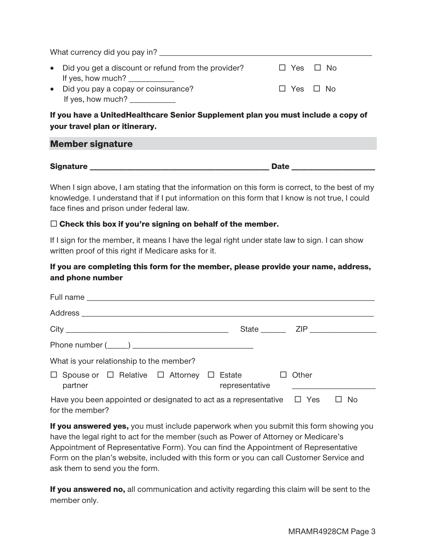| What currency did you pay in?                                                                                                                                                                                                                                                                                                                              |                      |  |
|------------------------------------------------------------------------------------------------------------------------------------------------------------------------------------------------------------------------------------------------------------------------------------------------------------------------------------------------------------|----------------------|--|
| • Did you get a discount or refund from the provider?<br>If yes, how much? $\sqrt{ }$                                                                                                                                                                                                                                                                      | $\Box$ Yes $\Box$ No |  |
| • Did you pay a copay or coinsurance?<br>If yes, how much? $\frac{1}{2}$ $\frac{1}{2}$ $\frac{1}{2}$ $\frac{1}{2}$ $\frac{1}{2}$ $\frac{1}{2}$ $\frac{1}{2}$ $\frac{1}{2}$ $\frac{1}{2}$ $\frac{1}{2}$ $\frac{1}{2}$ $\frac{1}{2}$ $\frac{1}{2}$ $\frac{1}{2}$ $\frac{1}{2}$ $\frac{1}{2}$ $\frac{1}{2}$ $\frac{1}{2}$ $\frac{1}{2}$ $\frac{1}{2}$ $\frac$ | $\Box$ Yes $\Box$ No |  |

If you have a UnitedHealthcare Senior Supplement plan you must include a copy of your travel plan or itinerary.

#### Member signature

Signature **Example 20** and 20 and 20 and 20 and 20 and 20 and 20 and 20 and 20 and 20 and 20 and 20 and 20 and 20 and 20 and 20 and 20 and 20 and 20 and 20 and 20 and 20 and 20 and 20 and 20 and 20 and 20 and 20 and 20 and

When I sign above, I am stating that the information on this form is correct, to the best of my knowledge. I understand that if I put information on this form that I know is not true, I could face fines and prison under federal law.

#### $\square$  Check this box if you're signing on behalf of the member.

If I sign for the member, it means I have the legal right under state law to sign. I can show written proof of this right if Medicare asks for it.

## If you are completing this form for the member, please provide your name, address, and phone number

| What is your relationship to the member?                                                       |                |       |     |
|------------------------------------------------------------------------------------------------|----------------|-------|-----|
| $\Box$ Spouse or $\Box$ Relative $\Box$ Attorney $\Box$ Estate $\Box$<br>partner               | representative | Other |     |
| Have you been appointed or designated to act as a representative $\Box$ Yes<br>for the member? |                |       | No. |

If you answered yes, you must include paperwork when you submit this form showing you have the legal right to act for the member (such as Power of Attorney or Medicare's Appointment of Representative Form). You can find the Appointment of Representative Form on the plan's website, included with this form or you can call Customer Service and ask them to send you the form.

If you answered no, all communication and activity regarding this claim will be sent to the member only.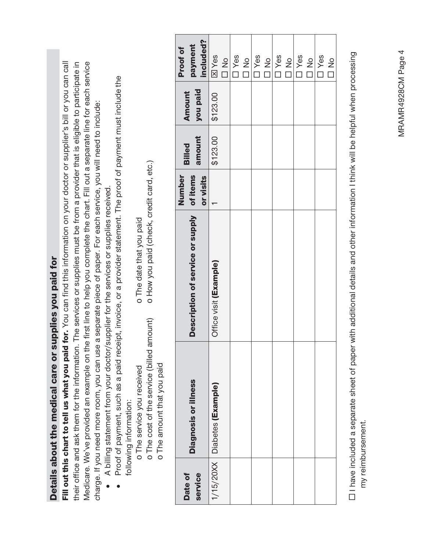|                    | Details about the medical care or supplies you paid for         | Fill out this chart to tell us what you paid for. You can find this information on your doctor or supplier's bill or you can call                                                                                                                    |                                 |                  |                    |                                  |
|--------------------|-----------------------------------------------------------------|------------------------------------------------------------------------------------------------------------------------------------------------------------------------------------------------------------------------------------------------------|---------------------------------|------------------|--------------------|----------------------------------|
|                    |                                                                 | their office and ask them for the information. The services or supplies must be from a provider that is eligible to participate in                                                                                                                   |                                 |                  |                    |                                  |
|                    |                                                                 | Medicare. We've provided an example on the first line to help you complete the chart. Fill out a separate line for each service<br>charge. If you need more room, you can use a separate piece of paper. For each service, you will need to include: |                                 |                  |                    |                                  |
|                    |                                                                 | A billing statement from your doctor/supplier for the services or supplies received.                                                                                                                                                                 |                                 |                  |                    |                                  |
|                    | following information:                                          | Proof of payment, such as a paid receipt, invoice, or a provider statement. The proof of payment must include the                                                                                                                                    |                                 |                  |                    |                                  |
|                    | o The service you received                                      | o The date that you paid                                                                                                                                                                                                                             |                                 |                  |                    |                                  |
|                    | o The cost of the service (billed<br>o The amount that you paid | o How you paid (check, credit card, etc.)<br>amount)                                                                                                                                                                                                 |                                 |                  |                    |                                  |
|                    |                                                                 |                                                                                                                                                                                                                                                      |                                 |                  |                    |                                  |
| service<br>Date of | Diagnosis or illness                                            | Description of service or supply                                                                                                                                                                                                                     | Number<br>of items<br>or visits | amount<br>Billed | you paid<br>Amount | included?<br>payment<br>Proof of |
| 1/15/20XX          | Diabetes (Example)                                              | Office visit (Example)                                                                                                                                                                                                                               |                                 | \$123.00         | \$123.00           | <b>MY</b> es                     |
|                    |                                                                 |                                                                                                                                                                                                                                                      |                                 |                  |                    | $\frac{1}{2}$                    |
|                    |                                                                 |                                                                                                                                                                                                                                                      |                                 |                  |                    | $\square$ Yes                    |
|                    |                                                                 |                                                                                                                                                                                                                                                      |                                 |                  |                    | $\frac{1}{2}$                    |
|                    |                                                                 |                                                                                                                                                                                                                                                      |                                 |                  |                    | $\square$ Yes                    |
|                    |                                                                 |                                                                                                                                                                                                                                                      |                                 |                  |                    | $\frac{1}{2}$                    |
|                    |                                                                 |                                                                                                                                                                                                                                                      |                                 |                  |                    | <b>T</b> Yes                     |
|                    |                                                                 |                                                                                                                                                                                                                                                      |                                 |                  |                    | $\frac{1}{2}$                    |
|                    |                                                                 |                                                                                                                                                                                                                                                      |                                 |                  |                    | <b>D</b> Yes                     |
|                    |                                                                 |                                                                                                                                                                                                                                                      |                                 |                  |                    | $\frac{1}{2}$                    |
|                    |                                                                 |                                                                                                                                                                                                                                                      |                                 |                  |                    | $\square$ Yes                    |

□ I have included a separate sheet of paper with additional details and other information I think will be helpful when processing  $\Box$  have included a separate sheet of paper with additional details and other information I think will be helpful when processing my reimbursement. my reimbursement.

S<br>D<br>D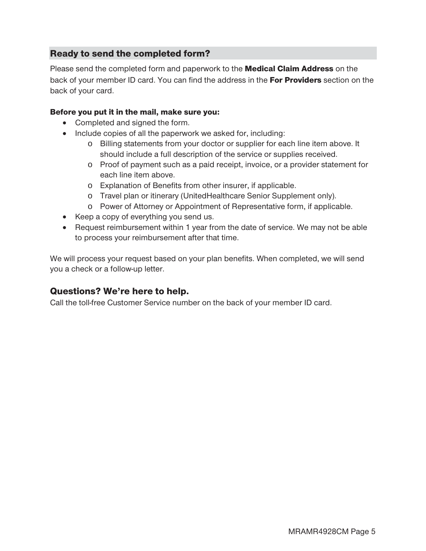# Ready to send the completed form?

Please send the completed form and paperwork to the **Medical Claim Address** on the back of your member ID card. You can find the address in the For Providers section on the back of your card.

#### Before you put it in the mail, make sure you:

- Completed and signed the form.
- Include copies of all the paperwork we asked for, including:
	- o Billing statements from your doctor or supplier for each line item above. It should include a full description of the service or supplies received.
	- o Proof of payment such as a paid receipt, invoice, or a provider statement for each line item above.
	- o Explanation of Benefits from other insurer, if applicable.
	- o Travel plan or itinerary (UnitedHealthcare Senior Supplement only).
	- o Power of Attorney or Appointment of Representative form, if applicable.
- Keep a copy of everything you send us.
- Request reimbursement within 1 year from the date of service. We may not be able to process your reimbursement after that time.

We will process your request based on your plan benefits. When completed, we will send you a check or a follow-up letter.

# Questions? We're here to help.

Call the toll-free Customer Service number on the back of your member ID card.